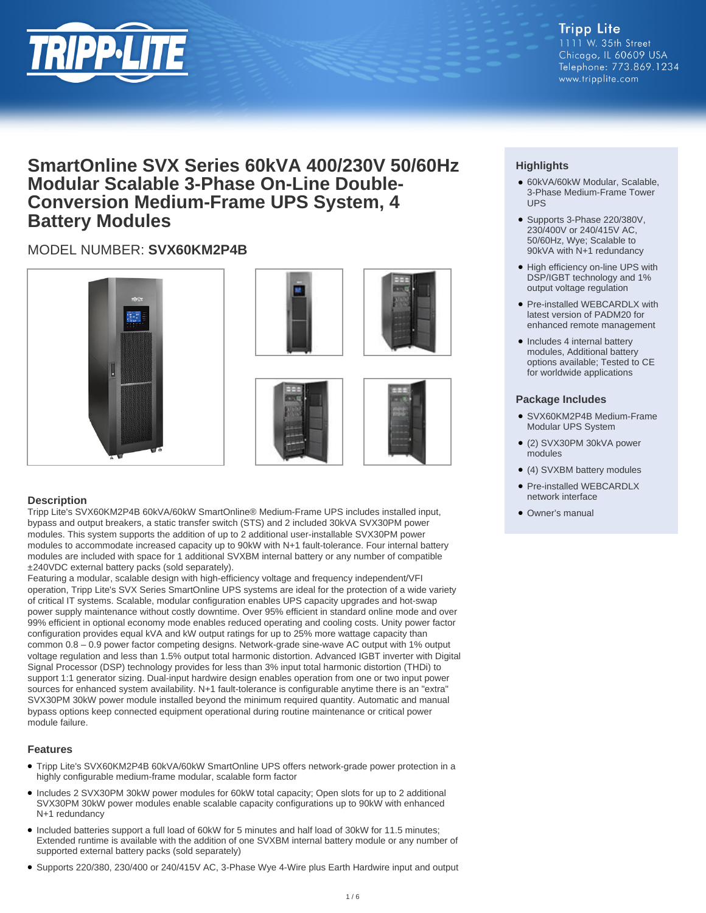

**Tripp Lite** 1111 W. 35th Street Chicago, IL 60609 USA Telephone: 773.869.1234 www.tripplite.com

# **SmartOnline SVX Series 60kVA 400/230V 50/60Hz Modular Scalable 3-Phase On-Line Double-Conversion Medium-Frame UPS System, 4 Battery Modules**

# MODEL NUMBER: **SVX60KM2P4B**









#### **Description**

Tripp Lite's SVX60KM2P4B 60kVA/60kW SmartOnline® Medium-Frame UPS includes installed input, bypass and output breakers, a static transfer switch (STS) and 2 included 30kVA SVX30PM power modules. This system supports the addition of up to 2 additional user-installable SVX30PM power modules to accommodate increased capacity up to 90kW with N+1 fault-tolerance. Four internal battery modules are included with space for 1 additional SVXBM internal battery or any number of compatible ±240VDC external battery packs (sold separately).

Featuring a modular, scalable design with high-efficiency voltage and frequency independent/VFI operation, Tripp Lite's SVX Series SmartOnline UPS systems are ideal for the protection of a wide variety of critical IT systems. Scalable, modular configuration enables UPS capacity upgrades and hot-swap power supply maintenance without costly downtime. Over 95% efficient in standard online mode and over 99% efficient in optional economy mode enables reduced operating and cooling costs. Unity power factor configuration provides equal kVA and kW output ratings for up to 25% more wattage capacity than common 0.8 – 0.9 power factor competing designs. Network-grade sine-wave AC output with 1% output voltage regulation and less than 1.5% output total harmonic distortion. Advanced IGBT inverter with Digital Signal Processor (DSP) technology provides for less than 3% input total harmonic distortion (THDi) to support 1:1 generator sizing. Dual-input hardwire design enables operation from one or two input power sources for enhanced system availability. N+1 fault-tolerance is configurable anytime there is an "extra" SVX30PM 30kW power module installed beyond the minimum required quantity. Automatic and manual bypass options keep connected equipment operational during routine maintenance or critical power module failure.

#### **Features**

- Tripp Lite's SVX60KM2P4B 60kVA/60kW SmartOnline UPS offers network-grade power protection in a highly configurable medium-frame modular, scalable form factor
- Includes 2 SVX30PM 30kW power modules for 60kW total capacity; Open slots for up to 2 additional SVX30PM 30kW power modules enable scalable capacity configurations up to 90kW with enhanced N+1 redundancy
- Included batteries support a full load of 60kW for 5 minutes and half load of 30kW for 11.5 minutes; Extended runtime is available with the addition of one SVXBM internal battery module or any number of supported external battery packs (sold separately)
- Supports 220/380, 230/400 or 240/415V AC, 3-Phase Wye 4-Wire plus Earth Hardwire input and output

## **Highlights**

- 60kVA/60kW Modular, Scalable, 3-Phase Medium-Frame Tower UPS
- Supports 3-Phase 220/380V, 230/400V or 240/415V AC, 50/60Hz, Wye; Scalable to 90kVA with N+1 redundancy
- High efficiency on-line UPS with DSP/IGBT technology and 1% output voltage regulation
- Pre-installed WEBCARDLX with latest version of PADM20 for enhanced remote management
- Includes 4 internal battery modules, Additional battery options available; Tested to CE for worldwide applications

#### **Package Includes**

- SVX60KM2P4B Medium-Frame Modular UPS System
- (2) SVX30PM 30kVA power modules
- (4) SVXBM battery modules
- Pre-installed WEBCARDLX network interface
- Owner's manual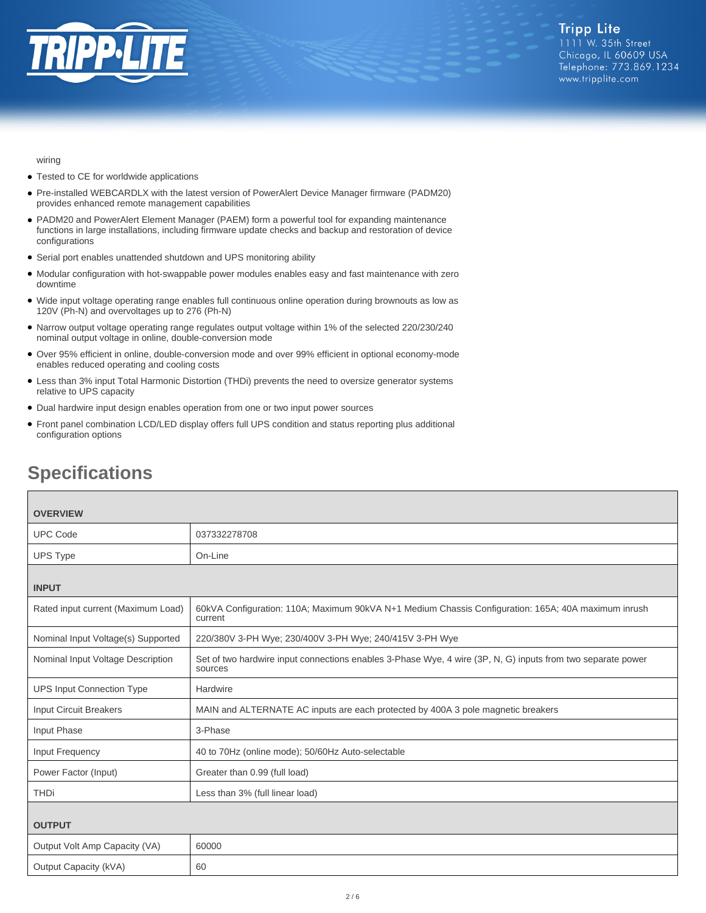

wiring

- Tested to CE for worldwide applications
- Pre-installed WEBCARDLX with the latest version of PowerAlert Device Manager firmware (PADM20) provides enhanced remote management capabilities
- PADM20 and PowerAlert Element Manager (PAEM) form a powerful tool for expanding maintenance functions in large installations, including firmware update checks and backup and restoration of device configurations
- Serial port enables unattended shutdown and UPS monitoring ability
- Modular configuration with hot-swappable power modules enables easy and fast maintenance with zero downtime
- Wide input voltage operating range enables full continuous online operation during brownouts as low as 120V (Ph-N) and overvoltages up to 276 (Ph-N)
- Narrow output voltage operating range regulates output voltage within 1% of the selected 220/230/240 nominal output voltage in online, double-conversion mode
- Over 95% efficient in online, double-conversion mode and over 99% efficient in optional economy-mode enables reduced operating and cooling costs
- Less than 3% input Total Harmonic Distortion (THDi) prevents the need to oversize generator systems relative to UPS capacity
- Dual hardwire input design enables operation from one or two input power sources
- Front panel combination LCD/LED display offers full UPS condition and status reporting plus additional configuration options

| <b>OVERVIEW</b>                    |                                                                                                                        |
|------------------------------------|------------------------------------------------------------------------------------------------------------------------|
| <b>UPC Code</b>                    | 037332278708                                                                                                           |
| <b>UPS Type</b>                    | On-Line                                                                                                                |
| <b>INPUT</b>                       |                                                                                                                        |
| Rated input current (Maximum Load) | 60kVA Configuration: 110A; Maximum 90kVA N+1 Medium Chassis Configuration: 165A; 40A maximum inrush<br>current         |
| Nominal Input Voltage(s) Supported | 220/380V 3-PH Wye; 230/400V 3-PH Wye; 240/415V 3-PH Wye                                                                |
| Nominal Input Voltage Description  | Set of two hardwire input connections enables 3-Phase Wye, 4 wire (3P, N, G) inputs from two separate power<br>sources |
| <b>UPS Input Connection Type</b>   | Hardwire                                                                                                               |
| <b>Input Circuit Breakers</b>      | MAIN and ALTERNATE AC inputs are each protected by 400A 3 pole magnetic breakers                                       |
| Input Phase                        | 3-Phase                                                                                                                |
| Input Frequency                    | 40 to 70Hz (online mode); 50/60Hz Auto-selectable                                                                      |
| Power Factor (Input)               | Greater than 0.99 (full load)                                                                                          |
| <b>THDi</b>                        | Less than 3% (full linear load)                                                                                        |
| <b>OUTPUT</b>                      |                                                                                                                        |
| Output Volt Amp Capacity (VA)      | 60000                                                                                                                  |
| Output Capacity (kVA)              | 60                                                                                                                     |

# **Specifications**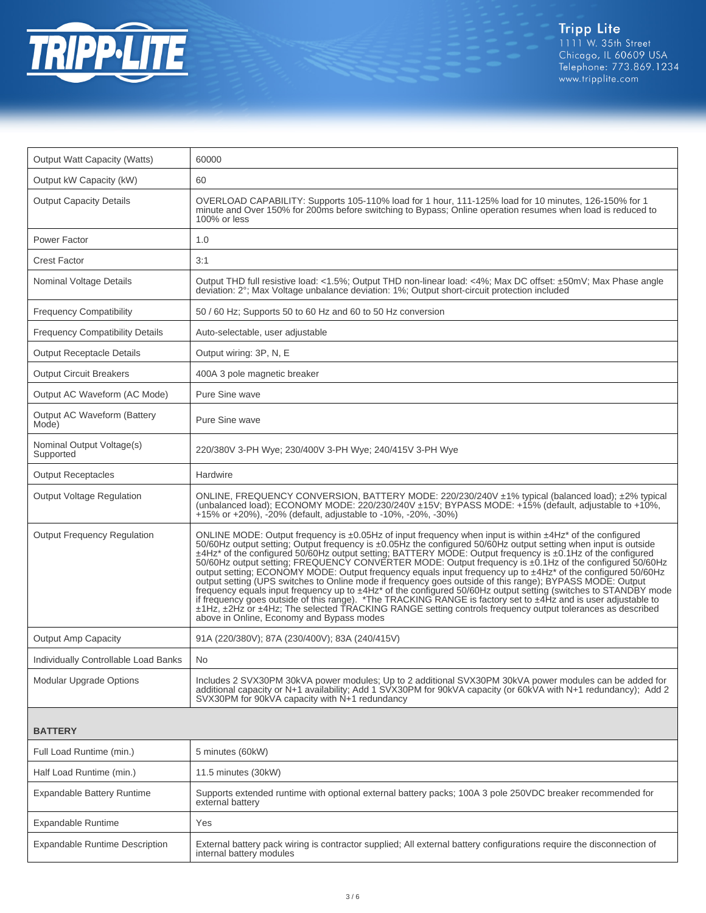

| <b>Output Watt Capacity (Watts)</b>    | 60000                                                                                                                                                                                                                                                                                                                                                                                                                                                                                                                                                                                                                                                                                                                                                                                                                                                                                                                                                                                                                                                                                                  |
|----------------------------------------|--------------------------------------------------------------------------------------------------------------------------------------------------------------------------------------------------------------------------------------------------------------------------------------------------------------------------------------------------------------------------------------------------------------------------------------------------------------------------------------------------------------------------------------------------------------------------------------------------------------------------------------------------------------------------------------------------------------------------------------------------------------------------------------------------------------------------------------------------------------------------------------------------------------------------------------------------------------------------------------------------------------------------------------------------------------------------------------------------------|
| Output kW Capacity (kW)                | 60                                                                                                                                                                                                                                                                                                                                                                                                                                                                                                                                                                                                                                                                                                                                                                                                                                                                                                                                                                                                                                                                                                     |
| <b>Output Capacity Details</b>         | OVERLOAD CAPABILITY: Supports 105-110% load for 1 hour, 111-125% load for 10 minutes, 126-150% for 1<br>minute and Over 150% for 200ms before switching to Bypass; Online operation resumes when load is reduced to<br>100% or less                                                                                                                                                                                                                                                                                                                                                                                                                                                                                                                                                                                                                                                                                                                                                                                                                                                                    |
| Power Factor                           | 1.0                                                                                                                                                                                                                                                                                                                                                                                                                                                                                                                                                                                                                                                                                                                                                                                                                                                                                                                                                                                                                                                                                                    |
| <b>Crest Factor</b>                    | 3:1                                                                                                                                                                                                                                                                                                                                                                                                                                                                                                                                                                                                                                                                                                                                                                                                                                                                                                                                                                                                                                                                                                    |
| Nominal Voltage Details                | Output THD full resistive load: <1.5%; Output THD non-linear load: <4%; Max DC offset: ±50mV; Max Phase angle<br>deviation: 2°; Max Voltage unbalance deviation: 1%; Output short-circuit protection included                                                                                                                                                                                                                                                                                                                                                                                                                                                                                                                                                                                                                                                                                                                                                                                                                                                                                          |
| <b>Frequency Compatibility</b>         | 50 / 60 Hz; Supports 50 to 60 Hz and 60 to 50 Hz conversion                                                                                                                                                                                                                                                                                                                                                                                                                                                                                                                                                                                                                                                                                                                                                                                                                                                                                                                                                                                                                                            |
| <b>Frequency Compatibility Details</b> | Auto-selectable, user adjustable                                                                                                                                                                                                                                                                                                                                                                                                                                                                                                                                                                                                                                                                                                                                                                                                                                                                                                                                                                                                                                                                       |
| <b>Output Receptacle Details</b>       | Output wiring: 3P, N, E                                                                                                                                                                                                                                                                                                                                                                                                                                                                                                                                                                                                                                                                                                                                                                                                                                                                                                                                                                                                                                                                                |
| <b>Output Circuit Breakers</b>         | 400A 3 pole magnetic breaker                                                                                                                                                                                                                                                                                                                                                                                                                                                                                                                                                                                                                                                                                                                                                                                                                                                                                                                                                                                                                                                                           |
| Output AC Waveform (AC Mode)           | Pure Sine wave                                                                                                                                                                                                                                                                                                                                                                                                                                                                                                                                                                                                                                                                                                                                                                                                                                                                                                                                                                                                                                                                                         |
| Output AC Waveform (Battery<br>Mode)   | Pure Sine wave                                                                                                                                                                                                                                                                                                                                                                                                                                                                                                                                                                                                                                                                                                                                                                                                                                                                                                                                                                                                                                                                                         |
| Nominal Output Voltage(s)<br>Supported | 220/380V 3-PH Wye; 230/400V 3-PH Wye; 240/415V 3-PH Wye                                                                                                                                                                                                                                                                                                                                                                                                                                                                                                                                                                                                                                                                                                                                                                                                                                                                                                                                                                                                                                                |
| <b>Output Receptacles</b>              | Hardwire                                                                                                                                                                                                                                                                                                                                                                                                                                                                                                                                                                                                                                                                                                                                                                                                                                                                                                                                                                                                                                                                                               |
| <b>Output Voltage Regulation</b>       | ONLINE, FREQUENCY CONVERSION, BATTERY MODE: 220/230/240V ±1% typical (balanced load); ±2% typical<br>(unbalanced load); ECONOMY MODE: 220/230/240V ±15V; BYPASS MODE: +15% (default, adjustable to +10%,<br>$+15\%$ or $+20\%$ ), $-20\%$ (default, adjustable to $-10\%$ , $-20\%$ , $-30\%$ )                                                                                                                                                                                                                                                                                                                                                                                                                                                                                                                                                                                                                                                                                                                                                                                                        |
| <b>Output Frequency Regulation</b>     | ONLINE MODE: Output frequency is $\pm 0.05$ Hz of input frequency when input is within $\pm 4$ Hz <sup>*</sup> of the configured<br>50/60Hz output setting; Output frequency is ±0.05Hz the configured 50/60Hz output setting when input is outside<br>±4Hz* of the configured 50/60Hz output setting; BATTERY MODE: Output frequency is ±0.1Hz of the configured<br>50/60Hz output setting; FREQUENCY CONVERTER MODE: Output frequency is ±0.1Hz of the configured 50/60Hz<br>output setting; ECONOMY MODE: Output frequency equals input frequency up to ±4Hz* of the configured 50/60Hz<br>output setting (UPS switches to Online mode if frequency goes outside of this range); BYPASS MODE: Output<br>frequency equals input frequency up to ±4Hz* of the configured 50/60Hz output setting (switches to STANDBY mode<br>if frequency goes outside of this range). *The TRACKING RANGE is factory set to ±4Hz and is user adjustable to<br>±1Hz, ±2Hz or ±4Hz; The selected TRACKING RANGE setting controls frequency output tolerances as described<br>above in Online, Economy and Bypass modes |
| <b>Output Amp Capacity</b>             | 91A (220/380V); 87A (230/400V); 83A (240/415V)                                                                                                                                                                                                                                                                                                                                                                                                                                                                                                                                                                                                                                                                                                                                                                                                                                                                                                                                                                                                                                                         |
| Individually Controllable Load Banks   | <b>No</b>                                                                                                                                                                                                                                                                                                                                                                                                                                                                                                                                                                                                                                                                                                                                                                                                                                                                                                                                                                                                                                                                                              |
| Modular Upgrade Options                | Includes 2 SVX30PM 30kVA power modules; Up to 2 additional SVX30PM 30kVA power modules can be added for<br>additional capacity or N+1 availability; Add 1 SVX30PM for 90kVA capacity (or 60kVA with N+1 redundancy); Add 2<br>SVX30PM for 90KVA capacity with N+1 redundancy                                                                                                                                                                                                                                                                                                                                                                                                                                                                                                                                                                                                                                                                                                                                                                                                                           |
| <b>BATTERY</b>                         |                                                                                                                                                                                                                                                                                                                                                                                                                                                                                                                                                                                                                                                                                                                                                                                                                                                                                                                                                                                                                                                                                                        |
| Full Load Runtime (min.)               | 5 minutes (60kW)                                                                                                                                                                                                                                                                                                                                                                                                                                                                                                                                                                                                                                                                                                                                                                                                                                                                                                                                                                                                                                                                                       |
| Half Load Runtime (min.)               | 11.5 minutes (30kW)                                                                                                                                                                                                                                                                                                                                                                                                                                                                                                                                                                                                                                                                                                                                                                                                                                                                                                                                                                                                                                                                                    |
| <b>Expandable Battery Runtime</b>      | Supports extended runtime with optional external battery packs; 100A 3 pole 250VDC breaker recommended for<br>external battery                                                                                                                                                                                                                                                                                                                                                                                                                                                                                                                                                                                                                                                                                                                                                                                                                                                                                                                                                                         |
| Expandable Runtime                     | Yes                                                                                                                                                                                                                                                                                                                                                                                                                                                                                                                                                                                                                                                                                                                                                                                                                                                                                                                                                                                                                                                                                                    |
| <b>Expandable Runtime Description</b>  | External battery pack wiring is contractor supplied; All external battery configurations require the disconnection of<br>internal battery modules                                                                                                                                                                                                                                                                                                                                                                                                                                                                                                                                                                                                                                                                                                                                                                                                                                                                                                                                                      |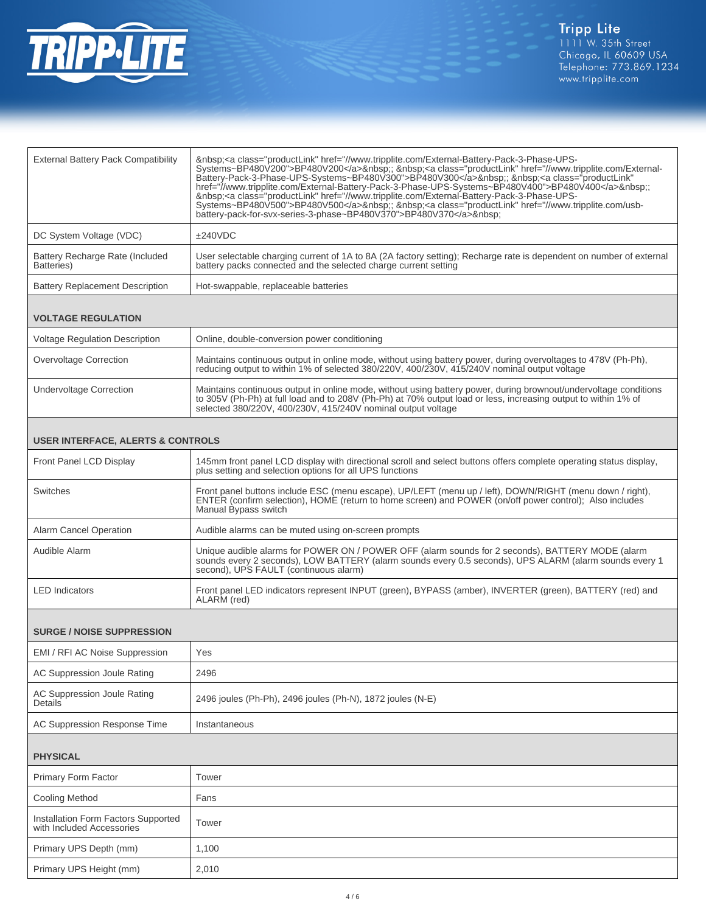

| Systems~BP480V200">BP480V200 ; <a class="productLink" external-battery-pack-3-phase-ups-systems~bp480v400"="" href="//www.tripplite.com/External-&lt;br&gt;href=" www.tripplite.com="">BP480V400</a> :;                                                                                                                                                                                                                                                |  |  |
|--------------------------------------------------------------------------------------------------------------------------------------------------------------------------------------------------------------------------------------------------------------------------------------------------------------------------------------------------------------------------------------------------------------------------------------------------------|--|--|
|                                                                                                                                                                                                                                                                                                                                                                                                                                                        |  |  |
|                                                                                                                                                                                                                                                                                                                                                                                                                                                        |  |  |
| User selectable charging current of 1A to 8A (2A factory setting); Recharge rate is dependent on number of external                                                                                                                                                                                                                                                                                                                                    |  |  |
|                                                                                                                                                                                                                                                                                                                                                                                                                                                        |  |  |
| <b>VOLTAGE REGULATION</b>                                                                                                                                                                                                                                                                                                                                                                                                                              |  |  |
|                                                                                                                                                                                                                                                                                                                                                                                                                                                        |  |  |
|                                                                                                                                                                                                                                                                                                                                                                                                                                                        |  |  |
| Maintains continuous output in online mode, without using battery power, during brownout/undervoltage conditions                                                                                                                                                                                                                                                                                                                                       |  |  |
| <b>USER INTERFACE, ALERTS &amp; CONTROLS</b>                                                                                                                                                                                                                                                                                                                                                                                                           |  |  |
| 145mm front panel LCD display with directional scroll and select buttons offers complete operating status display,                                                                                                                                                                                                                                                                                                                                     |  |  |
|                                                                                                                                                                                                                                                                                                                                                                                                                                                        |  |  |
| Maintains continuous output in online mode, without using battery power, during overvoltages to 478V (Ph-Ph),<br>to 305V (Ph-Ph) at full load and to 208V (Ph-Ph) at 70% output load or less, increasing output to within 1% of<br>Front panel buttons include ESC (menu escape), UP/LEFT (menu up / left), DOWN/RIGHT (menu down / right),<br>ENTER (confirm selection), HOME (return to home screen) and POWER (on/off power control); Also includes |  |  |

| Alarm Cancel Operation | Audible alarms can be muted using on-screen prompts                                                                                                                                                                                                 |
|------------------------|-----------------------------------------------------------------------------------------------------------------------------------------------------------------------------------------------------------------------------------------------------|
| Audible Alarm          | Unique audible alarms for POWER ON / POWER OFF (alarm sounds for 2 seconds), BATTERY MODE (alarm<br>sounds every 2 seconds), LOW BATTERY (alarm sounds every 0.5 seconds), UPS ALARM (alarm sounds every 1<br>second), UPS FAULT (continuous alarm) |
| <b>LED</b> Indicators  | Front panel LED indicators represent INPUT (green), BYPASS (amber), INVERTER (green), BATTERY (red) and<br>ALARM (red)                                                                                                                              |

#### **SURGE / NOISE SUPPRESSION**

| EMI / RFI AC Noise Suppression         | Yes                                                        |
|----------------------------------------|------------------------------------------------------------|
| AC Suppression Joule Rating            | 2496                                                       |
| AC Suppression Joule Rating<br>Details | 2496 joules (Ph-Ph), 2496 joules (Ph-N), 1872 joules (N-E) |
| AC Suppression Response Time           | Instantaneous                                              |

## **PHYSICAL**

| <b>Primary Form Factor</b>                                       | Tower |
|------------------------------------------------------------------|-------|
| Cooling Method                                                   | Fans  |
| Installation Form Factors Supported<br>with Included Accessories | Tower |
| Primary UPS Depth (mm)                                           | 1,100 |
| Primary UPS Height (mm)                                          | 2,010 |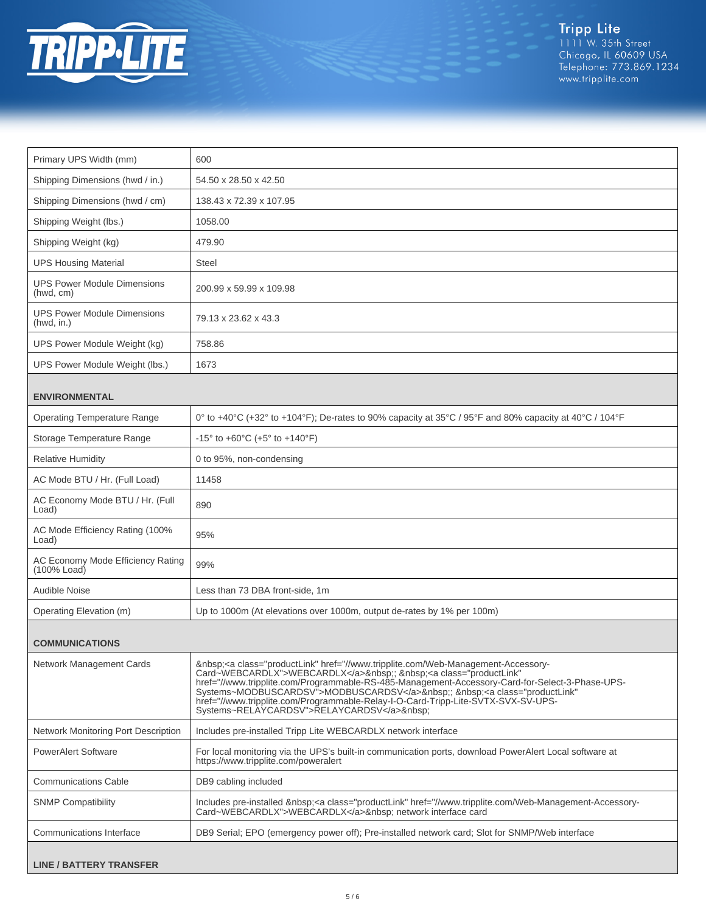

Tripp Lite<br>1111 W. 35th Street<br>Chicago, IL 60609 USA<br>Telephone: 773.869.1234<br>www.tripplite.com

| Primary UPS Width (mm)                           | 600                                                                                                                                                                                                                                                                                                                                                                                                                                                           |
|--------------------------------------------------|---------------------------------------------------------------------------------------------------------------------------------------------------------------------------------------------------------------------------------------------------------------------------------------------------------------------------------------------------------------------------------------------------------------------------------------------------------------|
| Shipping Dimensions (hwd / in.)                  | 54.50 x 28.50 x 42.50                                                                                                                                                                                                                                                                                                                                                                                                                                         |
| Shipping Dimensions (hwd / cm)                   | 138.43 x 72.39 x 107.95                                                                                                                                                                                                                                                                                                                                                                                                                                       |
| Shipping Weight (lbs.)                           | 1058.00                                                                                                                                                                                                                                                                                                                                                                                                                                                       |
| Shipping Weight (kg)                             | 479.90                                                                                                                                                                                                                                                                                                                                                                                                                                                        |
| <b>UPS Housing Material</b>                      | <b>Steel</b>                                                                                                                                                                                                                                                                                                                                                                                                                                                  |
| <b>UPS Power Module Dimensions</b><br>(hwd, cm)  | 200.99 x 59.99 x 109.98                                                                                                                                                                                                                                                                                                                                                                                                                                       |
| <b>UPS Power Module Dimensions</b><br>(hwd, in.) | 79.13 x 23.62 x 43.3                                                                                                                                                                                                                                                                                                                                                                                                                                          |
| UPS Power Module Weight (kg)                     | 758.86                                                                                                                                                                                                                                                                                                                                                                                                                                                        |
| UPS Power Module Weight (lbs.)                   | 1673                                                                                                                                                                                                                                                                                                                                                                                                                                                          |
| <b>ENVIRONMENTAL</b>                             |                                                                                                                                                                                                                                                                                                                                                                                                                                                               |
| <b>Operating Temperature Range</b>               | 0° to +40°C (+32° to +104°F); De-rates to 90% capacity at 35°C / 95°F and 80% capacity at 40°C / 104°F                                                                                                                                                                                                                                                                                                                                                        |
| Storage Temperature Range                        | $-15^{\circ}$ to $+60^{\circ}$ C (+5° to $+140^{\circ}$ F)                                                                                                                                                                                                                                                                                                                                                                                                    |
| <b>Relative Humidity</b>                         | 0 to 95%, non-condensing                                                                                                                                                                                                                                                                                                                                                                                                                                      |
| AC Mode BTU / Hr. (Full Load)                    | 11458                                                                                                                                                                                                                                                                                                                                                                                                                                                         |
| AC Economy Mode BTU / Hr. (Full<br>Load)         | 890                                                                                                                                                                                                                                                                                                                                                                                                                                                           |
| AC Mode Efficiency Rating (100%<br>Load)         | 95%                                                                                                                                                                                                                                                                                                                                                                                                                                                           |
| AC Economy Mode Efficiency Rating<br>(100% Load) | 99%                                                                                                                                                                                                                                                                                                                                                                                                                                                           |
| Audible Noise                                    | Less than 73 DBA front-side, 1m                                                                                                                                                                                                                                                                                                                                                                                                                               |
| Operating Elevation (m)                          | Up to 1000m (At elevations over 1000m, output de-rates by 1% per 100m)                                                                                                                                                                                                                                                                                                                                                                                        |
| <b>COMMUNICATIONS</b>                            |                                                                                                                                                                                                                                                                                                                                                                                                                                                               |
| Network Management Cards                         | <a class="productLink" href="//www.tripplite.com/Web-Management-Accessory-&lt;br&gt;Card~WEBCARDLX">WEBCARDLX</a> ; <a <br="" class="productLink">href="//www.tripplite.com/Programmable-RS-485-Management-Accessory-Card-for-Select-3-Phase-UPS-<br/>Systems~MODBUSCARDSV"&gt;MODBUSCARDSV</a> ; <a <br="" class="productLink">href="//www.tripplite.com/Programmable-Relay-I-O-Card-Tripp-Lite-SVTX-SVX-SV-UPS-<br/>Systems~RELAYCARDSV"&gt;RELAYCARDSV</a> |
| Network Monitoring Port Description              | Includes pre-installed Tripp Lite WEBCARDLX network interface                                                                                                                                                                                                                                                                                                                                                                                                 |
| <b>PowerAlert Software</b>                       | For local monitoring via the UPS's built-in communication ports, download PowerAlert Local software at<br>https://www.tripplite.com/poweralert                                                                                                                                                                                                                                                                                                                |
| <b>Communications Cable</b>                      | DB9 cabling included                                                                                                                                                                                                                                                                                                                                                                                                                                          |
| <b>SNMP Compatibility</b>                        | Includes pre-installed <a class="productLink" href="//www.tripplite.com/Web-Management-Accessory-&lt;br&gt;Card~WEBCARDLX">WEBCARDLX</a> network interface card                                                                                                                                                                                                                                                                                               |
| Communications Interface                         | DB9 Serial; EPO (emergency power off); Pre-installed network card; Slot for SNMP/Web interface                                                                                                                                                                                                                                                                                                                                                                |
| <b>LINE / BATTERY TRANSFER</b>                   |                                                                                                                                                                                                                                                                                                                                                                                                                                                               |